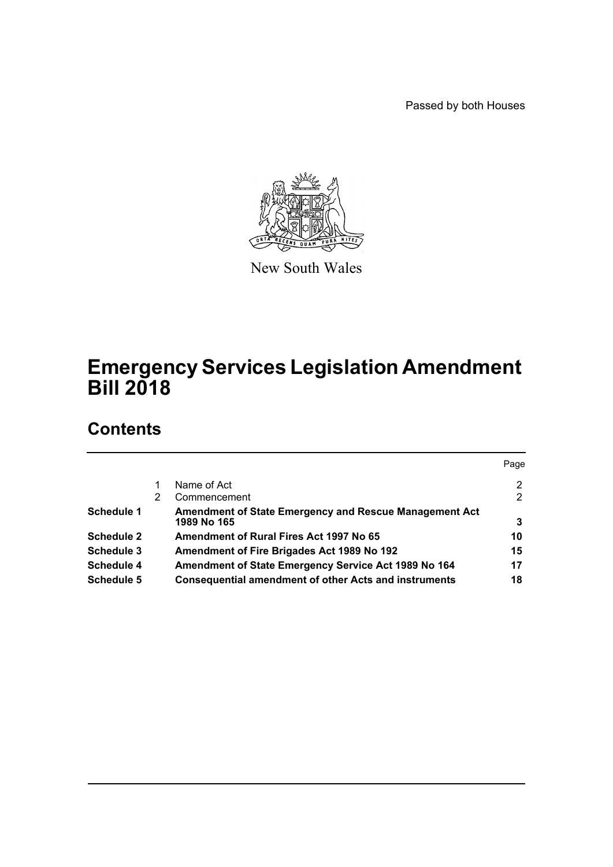Passed by both Houses



New South Wales

# **Emergency Services Legislation Amendment Bill 2018**

# **Contents**

|                   |   |                                                                       | Page |
|-------------------|---|-----------------------------------------------------------------------|------|
|                   |   | Name of Act                                                           | 2    |
|                   | 2 | Commencement                                                          | 2    |
| <b>Schedule 1</b> |   | Amendment of State Emergency and Rescue Management Act<br>1989 No 165 | 3    |
| <b>Schedule 2</b> |   | Amendment of Rural Fires Act 1997 No 65                               | 10   |
| Schedule 3        |   | Amendment of Fire Brigades Act 1989 No 192                            | 15   |
| <b>Schedule 4</b> |   | Amendment of State Emergency Service Act 1989 No 164                  | 17   |
| <b>Schedule 5</b> |   | <b>Consequential amendment of other Acts and instruments</b>          | 18   |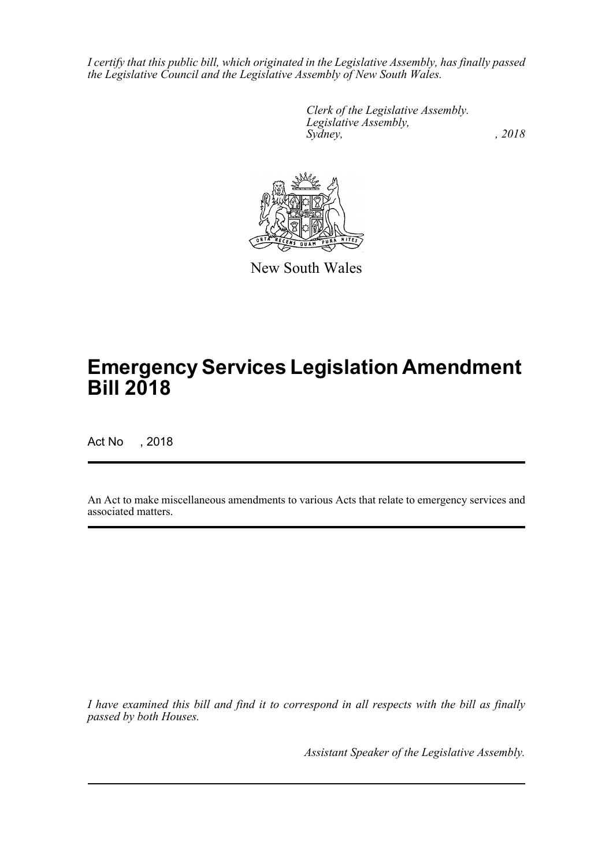*I certify that this public bill, which originated in the Legislative Assembly, has finally passed the Legislative Council and the Legislative Assembly of New South Wales.*

> *Clerk of the Legislative Assembly. Legislative Assembly, Sydney, , 2018*



New South Wales

# **Emergency Services Legislation Amendment Bill 2018**

Act No , 2018

An Act to make miscellaneous amendments to various Acts that relate to emergency services and associated matters.

*I have examined this bill and find it to correspond in all respects with the bill as finally passed by both Houses.*

*Assistant Speaker of the Legislative Assembly.*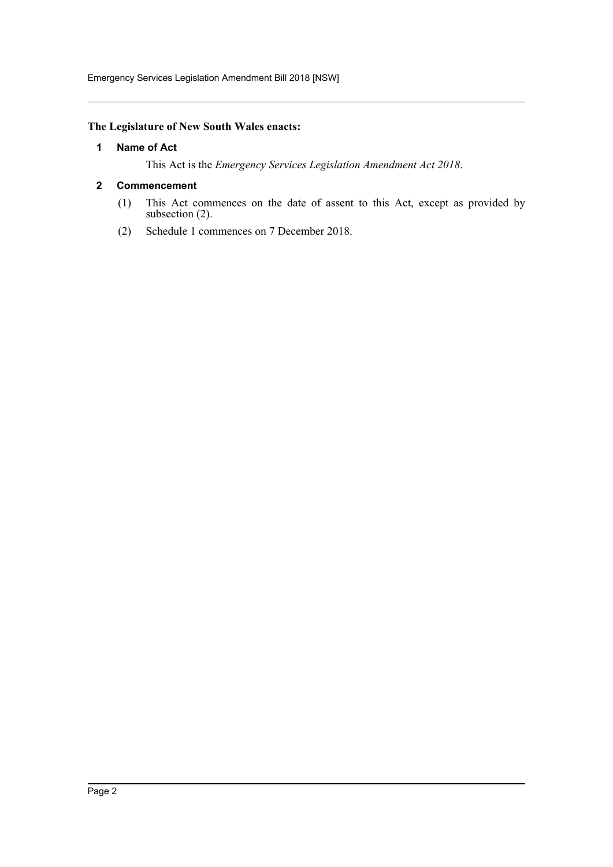Emergency Services Legislation Amendment Bill 2018 [NSW]

#### <span id="page-2-0"></span>**The Legislature of New South Wales enacts:**

#### **1 Name of Act**

This Act is the *Emergency Services Legislation Amendment Act 2018*.

#### <span id="page-2-1"></span>**2 Commencement**

- (1) This Act commences on the date of assent to this Act, except as provided by subsection (2).
- (2) Schedule 1 commences on 7 December 2018.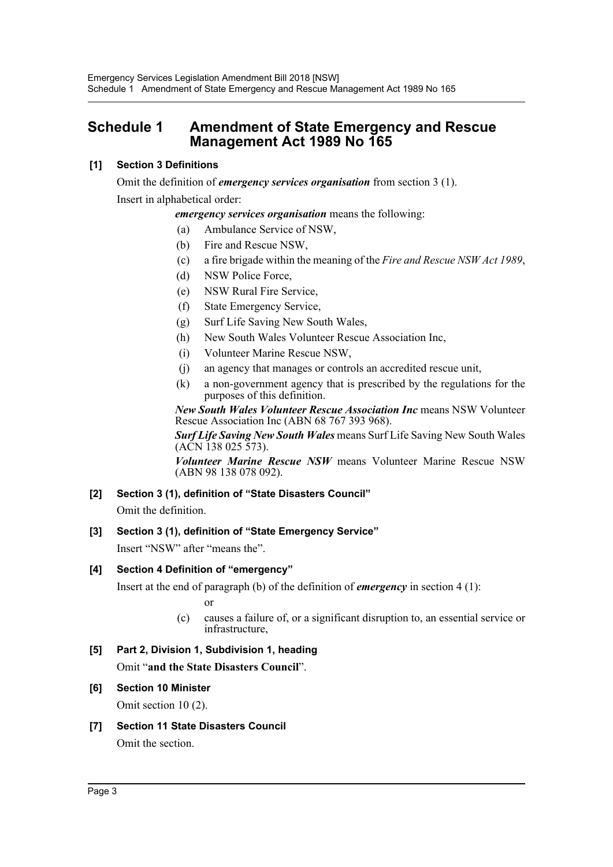# <span id="page-3-0"></span>**Schedule 1 Amendment of State Emergency and Rescue Management Act 1989 No 165**

## **[1] Section 3 Definitions**

Omit the definition of *emergency services organisation* from section 3 (1). Insert in alphabetical order:

*emergency services organisation* means the following:

- (a) Ambulance Service of NSW,
- (b) Fire and Rescue NSW,
- (c) a fire brigade within the meaning of the *Fire and Rescue NSW Act 1989*,
- (d) NSW Police Force,
- (e) NSW Rural Fire Service,
- (f) State Emergency Service,
- (g) Surf Life Saving New South Wales,
- (h) New South Wales Volunteer Rescue Association Inc,
- (i) Volunteer Marine Rescue NSW,
- (j) an agency that manages or controls an accredited rescue unit,
- (k) a non-government agency that is prescribed by the regulations for the purposes of this definition.

*New South Wales Volunteer Rescue Association Inc* means NSW Volunteer Rescue Association Inc (ABN 68 767 393 968).

*Surf Life Saving New South Wales* means Surf Life Saving New South Wales (ACN 138 025 573).

*Volunteer Marine Rescue NSW* means Volunteer Marine Rescue NSW (ABN 98 138 078 092).

# **[2] Section 3 (1), definition of "State Disasters Council"**

Omit the definition.

# **[3] Section 3 (1), definition of "State Emergency Service"**

Insert "NSW" after "means the".

#### **[4] Section 4 Definition of "emergency"**

Insert at the end of paragraph (b) of the definition of *emergency* in section 4 (1):

or

(c) causes a failure of, or a significant disruption to, an essential service or infrastructure,

# **[5] Part 2, Division 1, Subdivision 1, heading**

Omit "**and the State Disasters Council**".

#### **[6] Section 10 Minister**

Omit section 10 (2).

**[7] Section 11 State Disasters Council** Omit the section.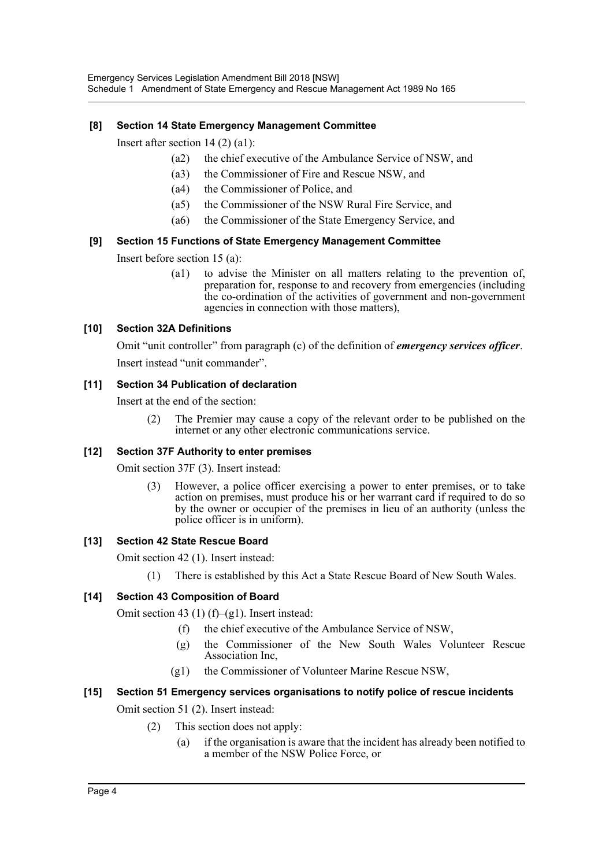#### **[8] Section 14 State Emergency Management Committee**

Insert after section 14 (2) (a1):

- (a2) the chief executive of the Ambulance Service of NSW, and
- (a3) the Commissioner of Fire and Rescue NSW, and
- (a4) the Commissioner of Police, and
- (a5) the Commissioner of the NSW Rural Fire Service, and
- (a6) the Commissioner of the State Emergency Service, and

#### **[9] Section 15 Functions of State Emergency Management Committee**

Insert before section 15 (a):

(a1) to advise the Minister on all matters relating to the prevention of, preparation for, response to and recovery from emergencies (including the co-ordination of the activities of government and non-government agencies in connection with those matters),

#### **[10] Section 32A Definitions**

Omit "unit controller" from paragraph (c) of the definition of *emergency services officer*. Insert instead "unit commander".

#### **[11] Section 34 Publication of declaration**

Insert at the end of the section:

(2) The Premier may cause a copy of the relevant order to be published on the internet or any other electronic communications service.

#### **[12] Section 37F Authority to enter premises**

Omit section 37F (3). Insert instead:

(3) However, a police officer exercising a power to enter premises, or to take action on premises, must produce his or her warrant card if required to do so by the owner or occupier of the premises in lieu of an authority (unless the police officer is in uniform).

#### **[13] Section 42 State Rescue Board**

Omit section 42 (1). Insert instead:

(1) There is established by this Act a State Rescue Board of New South Wales.

#### **[14] Section 43 Composition of Board**

Omit section 43 (1)  $(f)$ –(g1). Insert instead:

- (f) the chief executive of the Ambulance Service of NSW,
- (g) the Commissioner of the New South Wales Volunteer Rescue Association Inc,
- (g1) the Commissioner of Volunteer Marine Rescue NSW,

#### **[15] Section 51 Emergency services organisations to notify police of rescue incidents**

Omit section 51 (2). Insert instead:

- (2) This section does not apply:
	- (a) if the organisation is aware that the incident has already been notified to a member of the NSW Police Force, or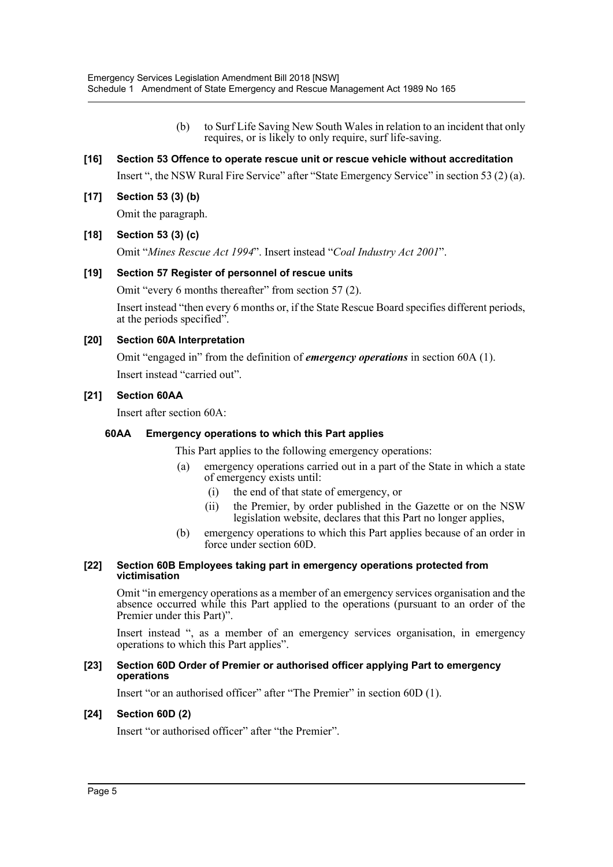(b) to Surf Life Saving New South Wales in relation to an incident that only requires, or is likely to only require, surf life-saving.

#### **[16] Section 53 Offence to operate rescue unit or rescue vehicle without accreditation**

Insert ", the NSW Rural Fire Service" after "State Emergency Service" in section 53 (2) (a).

**[17] Section 53 (3) (b)**

Omit the paragraph.

#### **[18] Section 53 (3) (c)**

Omit "*Mines Rescue Act 1994*". Insert instead "*Coal Industry Act 2001*".

#### **[19] Section 57 Register of personnel of rescue units**

Omit "every 6 months thereafter" from section 57 (2).

Insert instead "then every 6 months or, if the State Rescue Board specifies different periods, at the periods specified".

#### **[20] Section 60A Interpretation**

Omit "engaged in" from the definition of *emergency operations* in section 60A (1).

Insert instead "carried out".

#### **[21] Section 60AA**

Insert after section 60A:

#### **60AA Emergency operations to which this Part applies**

This Part applies to the following emergency operations:

- (a) emergency operations carried out in a part of the State in which a state of emergency exists until:
	- (i) the end of that state of emergency, or
	- (ii) the Premier, by order published in the Gazette or on the NSW legislation website, declares that this Part no longer applies,
- (b) emergency operations to which this Part applies because of an order in force under section 60D.

#### **[22] Section 60B Employees taking part in emergency operations protected from victimisation**

Omit "in emergency operations as a member of an emergency services organisation and the absence occurred while this Part applied to the operations (pursuant to an order of the Premier under this Part)".

Insert instead ", as a member of an emergency services organisation, in emergency operations to which this Part applies".

#### **[23] Section 60D Order of Premier or authorised officer applying Part to emergency operations**

Insert "or an authorised officer" after "The Premier" in section 60D (1).

#### **[24] Section 60D (2)**

Insert "or authorised officer" after "the Premier".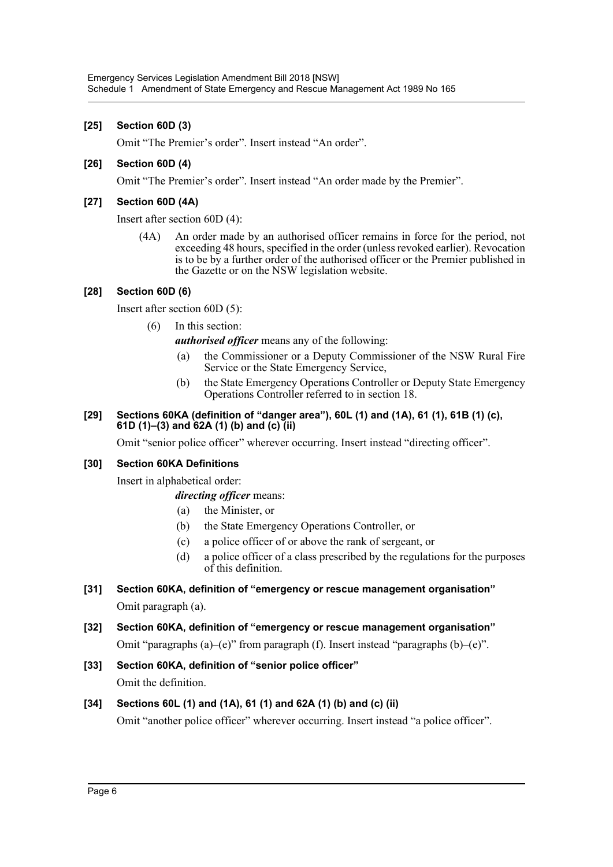#### **[25] Section 60D (3)**

Omit "The Premier's order". Insert instead "An order".

#### **[26] Section 60D (4)**

Omit "The Premier's order". Insert instead "An order made by the Premier".

#### **[27] Section 60D (4A)**

Insert after section 60D (4):

(4A) An order made by an authorised officer remains in force for the period, not exceeding 48 hours, specified in the order (unless revoked earlier). Revocation is to be by a further order of the authorised officer or the Premier published in the Gazette or on the NSW legislation website.

#### **[28] Section 60D (6)**

Insert after section 60D (5):

(6) In this section:

*authorised officer* means any of the following:

- (a) the Commissioner or a Deputy Commissioner of the NSW Rural Fire Service or the State Emergency Service,
- (b) the State Emergency Operations Controller or Deputy State Emergency Operations Controller referred to in section 18.

#### **[29] Sections 60KA (definition of "danger area"), 60L (1) and (1A), 61 (1), 61B (1) (c), 61D (1)–(3) and 62A (1) (b) and (c) (ii)**

Omit "senior police officer" wherever occurring. Insert instead "directing officer".

#### **[30] Section 60KA Definitions**

Insert in alphabetical order:

#### *directing officer* means:

- (a) the Minister, or
- (b) the State Emergency Operations Controller, or
- (c) a police officer of or above the rank of sergeant, or
- (d) a police officer of a class prescribed by the regulations for the purposes of this definition.
- **[31] Section 60KA, definition of "emergency or rescue management organisation"** Omit paragraph (a).

# **[32] Section 60KA, definition of "emergency or rescue management organisation"**

Omit "paragraphs (a)–(e)" from paragraph (f). Insert instead "paragraphs (b)–(e)".

**[33] Section 60KA, definition of "senior police officer"** Omit the definition.

# **[34] Sections 60L (1) and (1A), 61 (1) and 62A (1) (b) and (c) (ii)**

Omit "another police officer" wherever occurring. Insert instead "a police officer".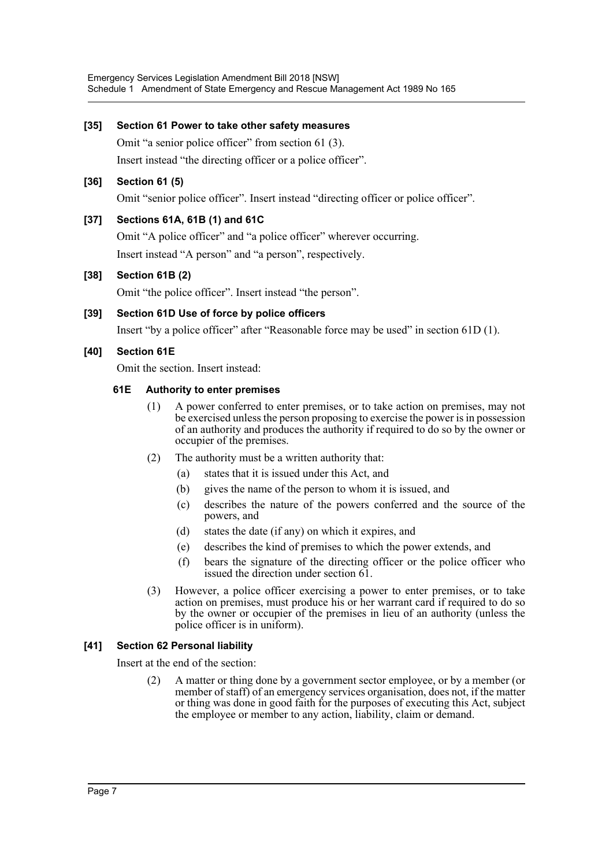#### **[35] Section 61 Power to take other safety measures**

Omit "a senior police officer" from section 61 (3).

Insert instead "the directing officer or a police officer".

#### **[36] Section 61 (5)**

Omit "senior police officer". Insert instead "directing officer or police officer".

#### **[37] Sections 61A, 61B (1) and 61C**

Omit "A police officer" and "a police officer" wherever occurring.

Insert instead "A person" and "a person", respectively.

#### **[38] Section 61B (2)**

Omit "the police officer". Insert instead "the person".

#### **[39] Section 61D Use of force by police officers**

Insert "by a police officer" after "Reasonable force may be used" in section 61D (1).

#### **[40] Section 61E**

Omit the section. Insert instead:

#### **61E Authority to enter premises**

- (1) A power conferred to enter premises, or to take action on premises, may not be exercised unless the person proposing to exercise the power is in possession of an authority and produces the authority if required to do so by the owner or occupier of the premises.
- (2) The authority must be a written authority that:
	- (a) states that it is issued under this Act, and
	- (b) gives the name of the person to whom it is issued, and
	- (c) describes the nature of the powers conferred and the source of the powers, and
	- (d) states the date (if any) on which it expires, and
	- (e) describes the kind of premises to which the power extends, and
	- (f) bears the signature of the directing officer or the police officer who issued the direction under section 61.
- (3) However, a police officer exercising a power to enter premises, or to take action on premises, must produce his or her warrant card if required to do so by the owner or occupier of the premises in lieu of an authority (unless the police officer is in uniform).

#### **[41] Section 62 Personal liability**

Insert at the end of the section:

(2) A matter or thing done by a government sector employee, or by a member (or member of staff) of an emergency services organisation, does not, if the matter or thing was done in good faith for the purposes of executing this Act, subject the employee or member to any action, liability, claim or demand.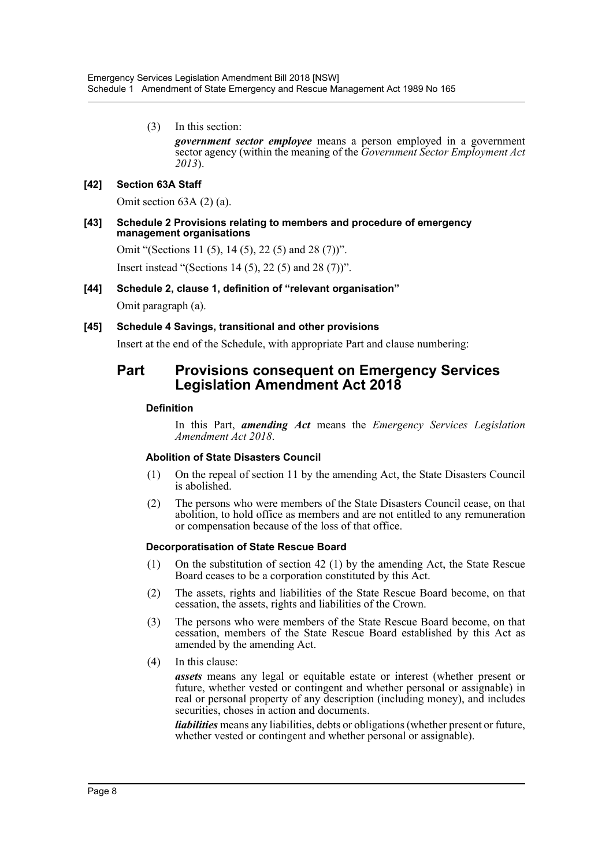(3) In this section:

*government sector employee* means a person employed in a government sector agency (within the meaning of the *Government Sector Employment Act 2013*).

#### **[42] Section 63A Staff**

Omit section 63A (2) (a).

#### **[43] Schedule 2 Provisions relating to members and procedure of emergency management organisations**

Omit "(Sections 11 (5), 14 (5), 22 (5) and 28 (7))".

Insert instead "(Sections 14 (5), 22 (5) and 28 (7))".

#### **[44] Schedule 2, clause 1, definition of "relevant organisation"**

Omit paragraph (a).

#### **[45] Schedule 4 Savings, transitional and other provisions**

Insert at the end of the Schedule, with appropriate Part and clause numbering:

# **Part Provisions consequent on Emergency Services Legislation Amendment Act 2018**

#### **Definition**

In this Part, *amending Act* means the *Emergency Services Legislation Amendment Act 2018*.

#### **Abolition of State Disasters Council**

- (1) On the repeal of section 11 by the amending Act, the State Disasters Council is abolished.
- (2) The persons who were members of the State Disasters Council cease, on that abolition, to hold office as members and are not entitled to any remuneration or compensation because of the loss of that office.

#### **Decorporatisation of State Rescue Board**

- (1) On the substitution of section 42 (1) by the amending Act, the State Rescue Board ceases to be a corporation constituted by this Act.
- (2) The assets, rights and liabilities of the State Rescue Board become, on that cessation, the assets, rights and liabilities of the Crown.
- (3) The persons who were members of the State Rescue Board become, on that cessation, members of the State Rescue Board established by this Act as amended by the amending Act.
- (4) In this clause:

*assets* means any legal or equitable estate or interest (whether present or future, whether vested or contingent and whether personal or assignable) in real or personal property of any description (including money), and includes securities, choses in action and documents.

*liabilities* means any liabilities, debts or obligations (whether present or future, whether vested or contingent and whether personal or assignable).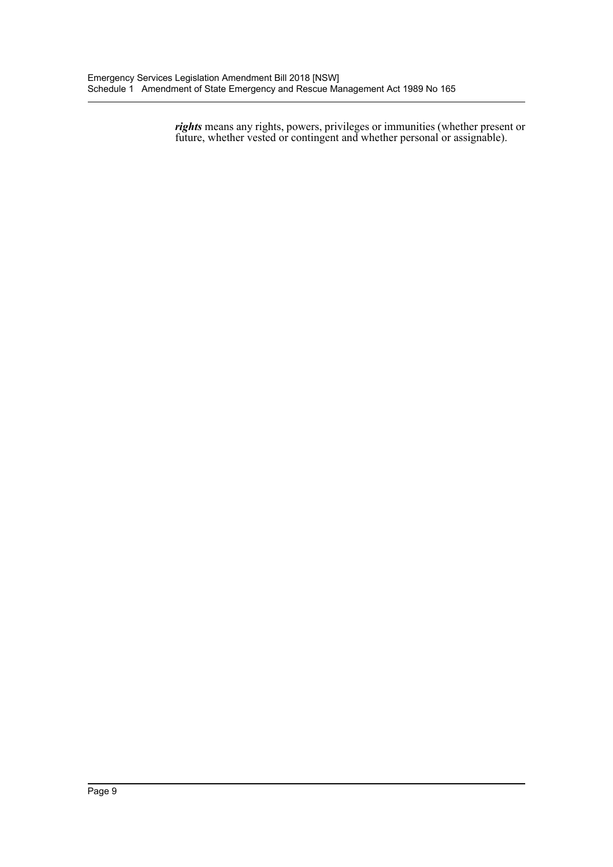*rights* means any rights, powers, privileges or immunities (whether present or future, whether vested or contingent and whether personal or assignable).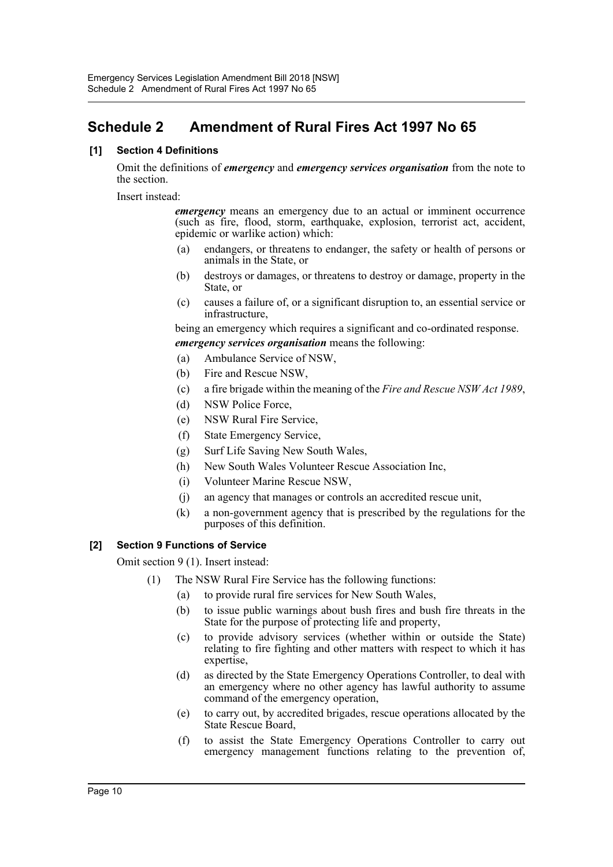# <span id="page-10-0"></span>**Schedule 2 Amendment of Rural Fires Act 1997 No 65**

#### **[1] Section 4 Definitions**

Omit the definitions of *emergency* and *emergency services organisation* from the note to the section.

Insert instead:

*emergency* means an emergency due to an actual or imminent occurrence (such as fire, flood, storm, earthquake, explosion, terrorist act, accident, epidemic or warlike action) which:

- (a) endangers, or threatens to endanger, the safety or health of persons or animals in the State, or
- (b) destroys or damages, or threatens to destroy or damage, property in the State, or
- (c) causes a failure of, or a significant disruption to, an essential service or infrastructure,

being an emergency which requires a significant and co-ordinated response. *emergency services organisation* means the following:

- (a) Ambulance Service of NSW,
- (b) Fire and Rescue NSW,
- (c) a fire brigade within the meaning of the *Fire and Rescue NSW Act 1989*,
- (d) NSW Police Force,
- (e) NSW Rural Fire Service,
- (f) State Emergency Service,
- (g) Surf Life Saving New South Wales,
- (h) New South Wales Volunteer Rescue Association Inc,
- (i) Volunteer Marine Rescue NSW,
- (j) an agency that manages or controls an accredited rescue unit,
- (k) a non-government agency that is prescribed by the regulations for the purposes of this definition.

#### **[2] Section 9 Functions of Service**

Omit section 9 (1). Insert instead:

- (1) The NSW Rural Fire Service has the following functions:
	- (a) to provide rural fire services for New South Wales,
	- (b) to issue public warnings about bush fires and bush fire threats in the State for the purpose of protecting life and property,
	- (c) to provide advisory services (whether within or outside the State) relating to fire fighting and other matters with respect to which it has expertise,
	- (d) as directed by the State Emergency Operations Controller, to deal with an emergency where no other agency has lawful authority to assume command of the emergency operation,
	- (e) to carry out, by accredited brigades, rescue operations allocated by the State Rescue Board,
	- (f) to assist the State Emergency Operations Controller to carry out emergency management functions relating to the prevention of,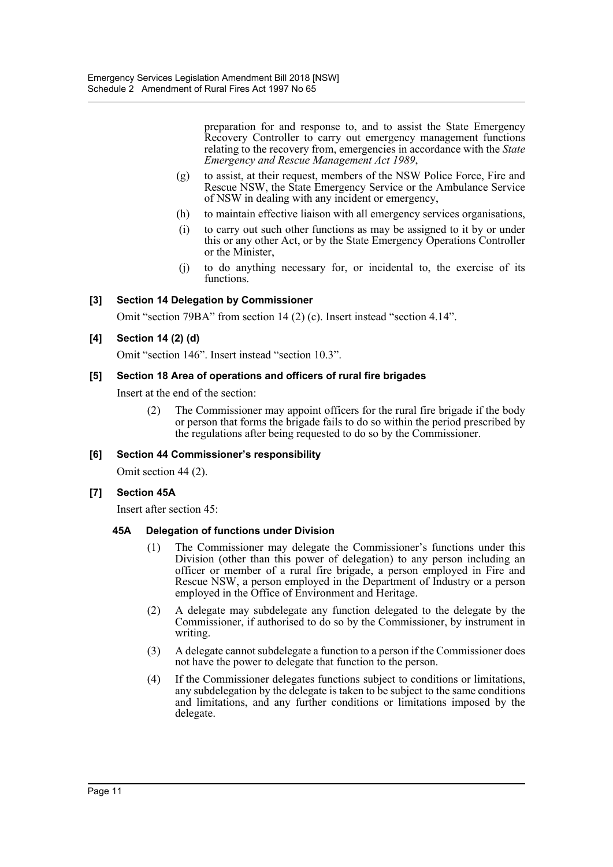preparation for and response to, and to assist the State Emergency Recovery Controller to carry out emergency management functions relating to the recovery from, emergencies in accordance with the *State Emergency and Rescue Management Act 1989*,

- (g) to assist, at their request, members of the NSW Police Force, Fire and Rescue NSW, the State Emergency Service or the Ambulance Service of NSW in dealing with any incident or emergency,
- (h) to maintain effective liaison with all emergency services organisations,
- (i) to carry out such other functions as may be assigned to it by or under this or any other Act, or by the State Emergency Operations Controller or the Minister,
- (j) to do anything necessary for, or incidental to, the exercise of its functions.

#### **[3] Section 14 Delegation by Commissioner**

Omit "section 79BA" from section 14 (2) (c). Insert instead "section 4.14".

#### **[4] Section 14 (2) (d)**

Omit "section 146". Insert instead "section 10.3".

#### **[5] Section 18 Area of operations and officers of rural fire brigades**

Insert at the end of the section:

(2) The Commissioner may appoint officers for the rural fire brigade if the body or person that forms the brigade fails to do so within the period prescribed by the regulations after being requested to do so by the Commissioner.

#### **[6] Section 44 Commissioner's responsibility**

Omit section 44 (2).

#### **[7] Section 45A**

Insert after section 45:

#### **45A Delegation of functions under Division**

- (1) The Commissioner may delegate the Commissioner's functions under this Division (other than this power of delegation) to any person including an officer or member of a rural fire brigade, a person employed in Fire and Rescue NSW, a person employed in the Department of Industry or a person employed in the Office of Environment and Heritage.
- (2) A delegate may subdelegate any function delegated to the delegate by the Commissioner, if authorised to do so by the Commissioner, by instrument in writing.
- (3) A delegate cannot subdelegate a function to a person if the Commissioner does not have the power to delegate that function to the person.
- (4) If the Commissioner delegates functions subject to conditions or limitations, any subdelegation by the delegate is taken to be subject to the same conditions and limitations, and any further conditions or limitations imposed by the delegate.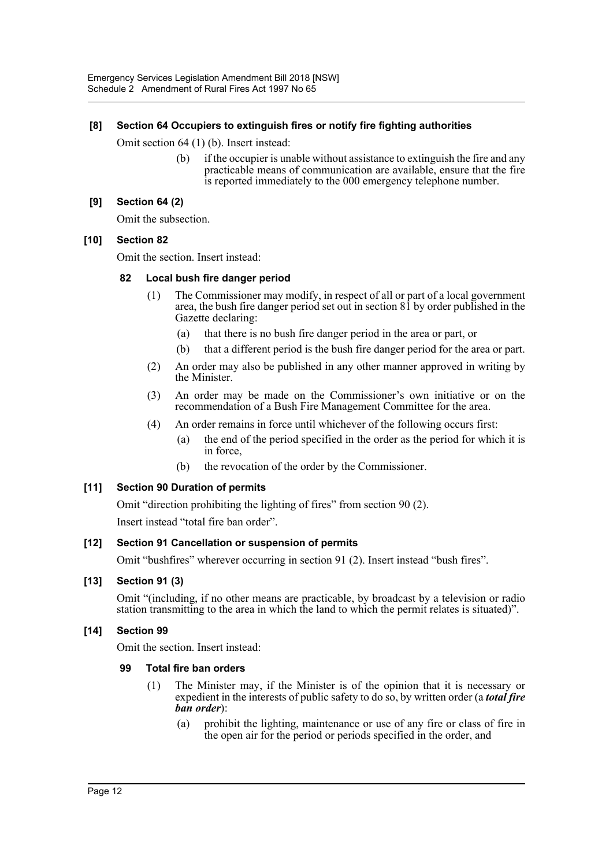#### **[8] Section 64 Occupiers to extinguish fires or notify fire fighting authorities**

Omit section 64 (1) (b). Insert instead:

(b) if the occupier is unable without assistance to extinguish the fire and any practicable means of communication are available, ensure that the fire is reported immediately to the 000 emergency telephone number.

#### **[9] Section 64 (2)**

Omit the subsection.

#### **[10] Section 82**

Omit the section. Insert instead:

#### **82 Local bush fire danger period**

- (1) The Commissioner may modify, in respect of all or part of a local government area, the bush fire danger period set out in section 81 by order published in the Gazette declaring:
	- (a) that there is no bush fire danger period in the area or part, or
	- (b) that a different period is the bush fire danger period for the area or part.
- (2) An order may also be published in any other manner approved in writing by the Minister.
- (3) An order may be made on the Commissioner's own initiative or on the recommendation of a Bush Fire Management Committee for the area.
- (4) An order remains in force until whichever of the following occurs first:
	- (a) the end of the period specified in the order as the period for which it is in force,
	- (b) the revocation of the order by the Commissioner.

#### **[11] Section 90 Duration of permits**

Omit "direction prohibiting the lighting of fires" from section 90 (2).

Insert instead "total fire ban order".

#### **[12] Section 91 Cancellation or suspension of permits**

Omit "bushfires" wherever occurring in section 91 (2). Insert instead "bush fires".

#### **[13] Section 91 (3)**

Omit "(including, if no other means are practicable, by broadcast by a television or radio station transmitting to the area in which the land to which the permit relates is situated)".

#### **[14] Section 99**

Omit the section. Insert instead:

#### **99 Total fire ban orders**

- (1) The Minister may, if the Minister is of the opinion that it is necessary or expedient in the interests of public safety to do so, by written order (a *total fire ban order*):
	- (a) prohibit the lighting, maintenance or use of any fire or class of fire in the open air for the period or periods specified in the order, and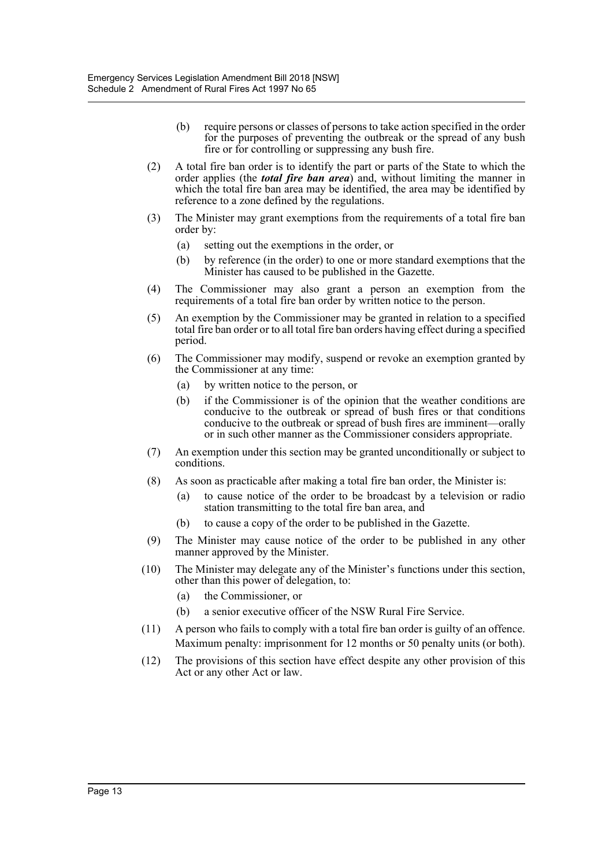- (b) require persons or classes of persons to take action specified in the order for the purposes of preventing the outbreak or the spread of any bush fire or for controlling or suppressing any bush fire.
- (2) A total fire ban order is to identify the part or parts of the State to which the order applies (the *total fire ban area*) and, without limiting the manner in which the total fire ban area may be identified, the area may be identified by reference to a zone defined by the regulations.
- (3) The Minister may grant exemptions from the requirements of a total fire ban order by:
	- (a) setting out the exemptions in the order, or
	- (b) by reference (in the order) to one or more standard exemptions that the Minister has caused to be published in the Gazette.
- (4) The Commissioner may also grant a person an exemption from the requirements of a total fire ban order by written notice to the person.
- (5) An exemption by the Commissioner may be granted in relation to a specified total fire ban order or to all total fire ban orders having effect during a specified period.
- (6) The Commissioner may modify, suspend or revoke an exemption granted by the Commissioner at any time:
	- (a) by written notice to the person, or
	- (b) if the Commissioner is of the opinion that the weather conditions are conducive to the outbreak or spread of bush fires or that conditions conducive to the outbreak or spread of bush fires are imminent—orally or in such other manner as the Commissioner considers appropriate.
- (7) An exemption under this section may be granted unconditionally or subject to conditions.
- (8) As soon as practicable after making a total fire ban order, the Minister is:
	- (a) to cause notice of the order to be broadcast by a television or radio station transmitting to the total fire ban area, and
	- (b) to cause a copy of the order to be published in the Gazette.
- (9) The Minister may cause notice of the order to be published in any other manner approved by the Minister.
- (10) The Minister may delegate any of the Minister's functions under this section, other than this power of delegation, to:
	- (a) the Commissioner, or
	- (b) a senior executive officer of the NSW Rural Fire Service.
- (11) A person who fails to comply with a total fire ban order is guilty of an offence. Maximum penalty: imprisonment for 12 months or 50 penalty units (or both).
- (12) The provisions of this section have effect despite any other provision of this Act or any other Act or law.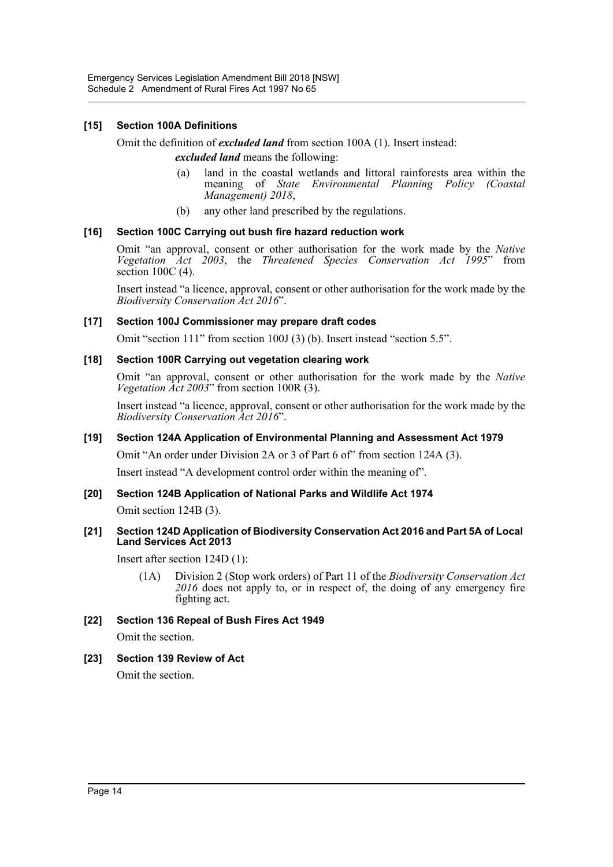#### **[15] Section 100A Definitions**

Omit the definition of *excluded land* from section 100A (1). Insert instead:

*excluded land* means the following:

- (a) land in the coastal wetlands and littoral rainforests area within the meaning of *State Environmental Planning Policy (Coastal Management) 2018*,
- (b) any other land prescribed by the regulations.

#### **[16] Section 100C Carrying out bush fire hazard reduction work**

Omit "an approval, consent or other authorisation for the work made by the *Native Vegetation Act 2003*, the *Threatened Species Conservation Act 1995*" from section 100C (4).

Insert instead "a licence, approval, consent or other authorisation for the work made by the *Biodiversity Conservation Act 2016*".

#### **[17] Section 100J Commissioner may prepare draft codes**

Omit "section 111" from section 100J (3) (b). Insert instead "section 5.5".

#### **[18] Section 100R Carrying out vegetation clearing work**

Omit "an approval, consent or other authorisation for the work made by the *Native Vegetation Act 2003*" from section 100R (3).

Insert instead "a licence, approval, consent or other authorisation for the work made by the *Biodiversity Conservation Act 2016*".

#### **[19] Section 124A Application of Environmental Planning and Assessment Act 1979**

Omit "An order under Division 2A or 3 of Part 6 of" from section 124A (3).

Insert instead "A development control order within the meaning of".

#### **[20] Section 124B Application of National Parks and Wildlife Act 1974**

Omit section 124B (3).

#### **[21] Section 124D Application of Biodiversity Conservation Act 2016 and Part 5A of Local Land Services Act 2013**

Insert after section 124D (1):

(1A) Division 2 (Stop work orders) of Part 11 of the *Biodiversity Conservation Act 2016* does not apply to, or in respect of, the doing of any emergency fire fighting act.

#### **[22] Section 136 Repeal of Bush Fires Act 1949**

Omit the section.

#### **[23] Section 139 Review of Act**

Omit the section.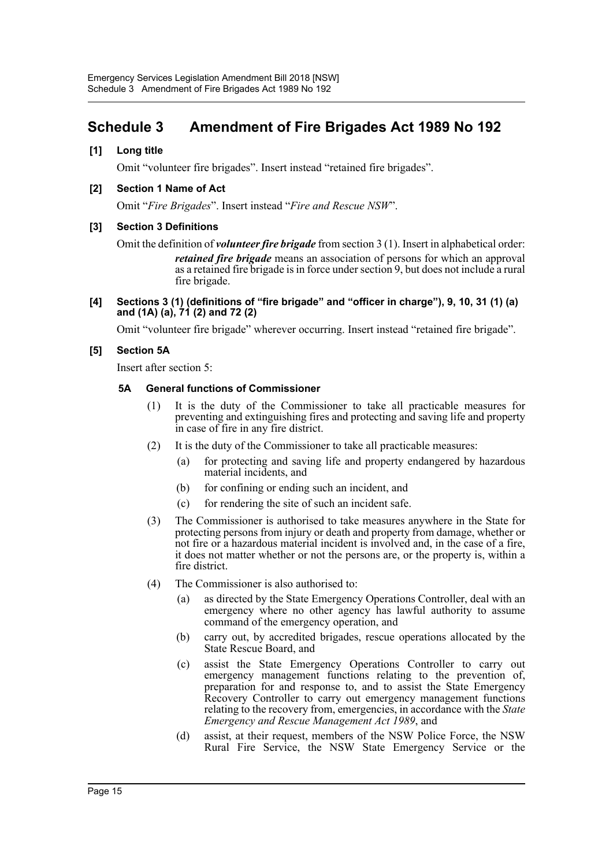# <span id="page-15-0"></span>**Schedule 3 Amendment of Fire Brigades Act 1989 No 192**

#### **[1] Long title**

Omit "volunteer fire brigades". Insert instead "retained fire brigades".

#### **[2] Section 1 Name of Act**

Omit "*Fire Brigades*". Insert instead "*Fire and Rescue NSW*".

#### **[3] Section 3 Definitions**

Omit the definition of *volunteer fire brigade* from section 3 (1). Insert in alphabetical order: *retained fire brigade* means an association of persons for which an approval as a retained fire brigade is in force under section 9, but does not include a rural fire brigade.

#### **[4] Sections 3 (1) (definitions of "fire brigade" and "officer in charge"), 9, 10, 31 (1) (a) and (1A) (a), 71 (2) and 72 (2)**

Omit "volunteer fire brigade" wherever occurring. Insert instead "retained fire brigade".

#### **[5] Section 5A**

Insert after section 5:

#### **5A General functions of Commissioner**

- (1) It is the duty of the Commissioner to take all practicable measures for preventing and extinguishing fires and protecting and saving life and property in case of fire in any fire district.
- (2) It is the duty of the Commissioner to take all practicable measures:
	- (a) for protecting and saving life and property endangered by hazardous material incidents, and
	- (b) for confining or ending such an incident, and
	- (c) for rendering the site of such an incident safe.
- (3) The Commissioner is authorised to take measures anywhere in the State for protecting persons from injury or death and property from damage, whether or not fire or a hazardous material incident is involved and, in the case of a fire, it does not matter whether or not the persons are, or the property is, within a fire district.
- (4) The Commissioner is also authorised to:
	- (a) as directed by the State Emergency Operations Controller, deal with an emergency where no other agency has lawful authority to assume command of the emergency operation, and
	- (b) carry out, by accredited brigades, rescue operations allocated by the State Rescue Board, and
	- (c) assist the State Emergency Operations Controller to carry out emergency management functions relating to the prevention of, preparation for and response to, and to assist the State Emergency Recovery Controller to carry out emergency management functions relating to the recovery from, emergencies, in accordance with the *State Emergency and Rescue Management Act 1989*, and
	- (d) assist, at their request, members of the NSW Police Force, the NSW Rural Fire Service, the NSW State Emergency Service or the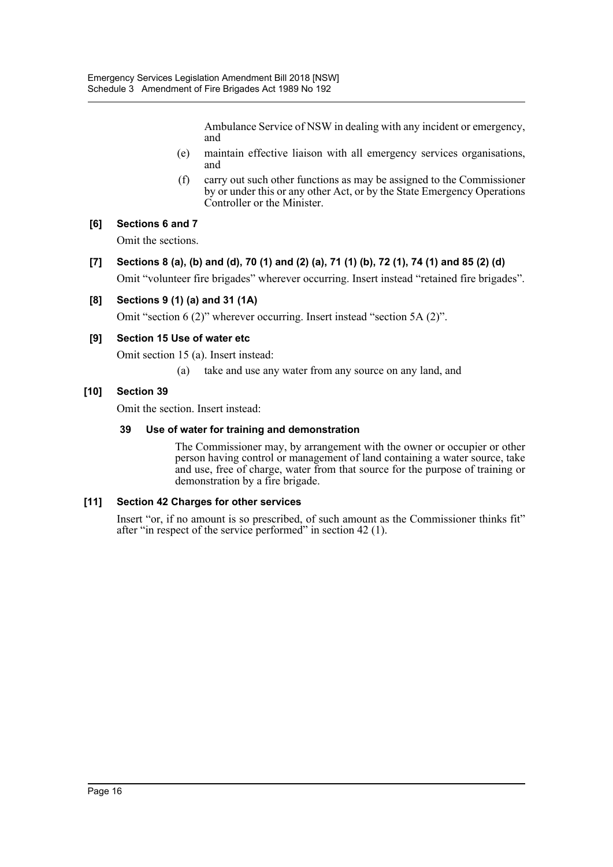Ambulance Service of NSW in dealing with any incident or emergency, and

- (e) maintain effective liaison with all emergency services organisations, and
- (f) carry out such other functions as may be assigned to the Commissioner by or under this or any other Act, or by the State Emergency Operations Controller or the Minister.

#### **[6] Sections 6 and 7**

Omit the sections.

**[7] Sections 8 (a), (b) and (d), 70 (1) and (2) (a), 71 (1) (b), 72 (1), 74 (1) and 85 (2) (d)** Omit "volunteer fire brigades" wherever occurring. Insert instead "retained fire brigades".

#### **[8] Sections 9 (1) (a) and 31 (1A)**

Omit "section 6 (2)" wherever occurring. Insert instead "section 5A (2)".

#### **[9] Section 15 Use of water etc**

Omit section 15 (a). Insert instead:

(a) take and use any water from any source on any land, and

#### **[10] Section 39**

Omit the section. Insert instead:

#### **39 Use of water for training and demonstration**

The Commissioner may, by arrangement with the owner or occupier or other person having control or management of land containing a water source, take and use, free of charge, water from that source for the purpose of training or demonstration by a fire brigade.

#### **[11] Section 42 Charges for other services**

Insert "or, if no amount is so prescribed, of such amount as the Commissioner thinks fit" after "in respect of the service performed" in section 42 (1).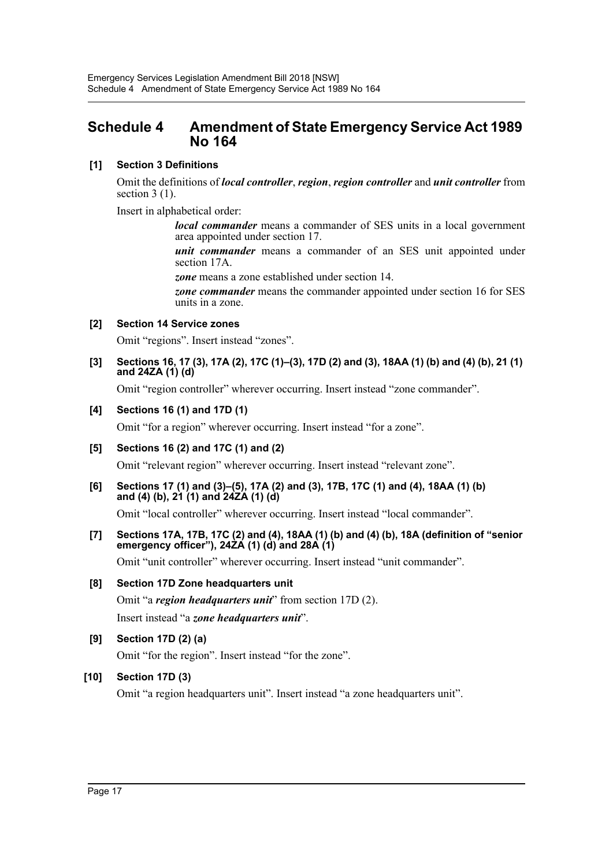# <span id="page-17-0"></span>**Schedule 4 Amendment of State Emergency Service Act 1989 No 164**

### **[1] Section 3 Definitions**

Omit the definitions of *local controller*, *region*, *region controller* and *unit controller* from section 3 (1).

Insert in alphabetical order:

*local commander* means a commander of SES units in a local government area appointed under section 17.

*unit commander* means a commander of an SES unit appointed under section 17A.

*zone* means a zone established under section 14.

*zone commander* means the commander appointed under section 16 for SES units in a zone.

### **[2] Section 14 Service zones**

Omit "regions". Insert instead "zones".

**[3] Sections 16, 17 (3), 17A (2), 17C (1)–(3), 17D (2) and (3), 18AA (1) (b) and (4) (b), 21 (1) and 24ZA (1) (d)**

Omit "region controller" wherever occurring. Insert instead "zone commander".

#### **[4] Sections 16 (1) and 17D (1)**

Omit "for a region" wherever occurring. Insert instead "for a zone".

# **[5] Sections 16 (2) and 17C (1) and (2)**

Omit "relevant region" wherever occurring. Insert instead "relevant zone".

**[6] Sections 17 (1) and (3)–(5), 17A (2) and (3), 17B, 17C (1) and (4), 18AA (1) (b) and (4) (b), 21 (1) and 24ZA (1) (d)**

Omit "local controller" wherever occurring. Insert instead "local commander".

**[7] Sections 17A, 17B, 17C (2) and (4), 18AA (1) (b) and (4) (b), 18A (definition of "senior emergency officer"), 24ZA (1) (d) and 28A (1)**

Omit "unit controller" wherever occurring. Insert instead "unit commander".

#### **[8] Section 17D Zone headquarters unit**

Omit "a *region headquarters unit*" from section 17D (2). Insert instead "a *zone headquarters unit*".

**[9] Section 17D (2) (a)**

Omit "for the region". Insert instead "for the zone".

#### **[10] Section 17D (3)**

Omit "a region headquarters unit". Insert instead "a zone headquarters unit".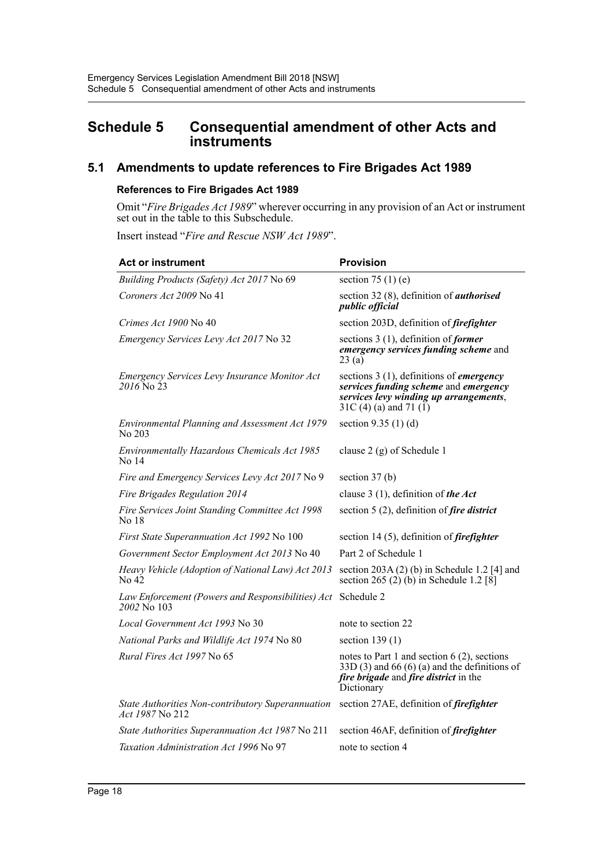# <span id="page-18-0"></span>**Schedule 5 Consequential amendment of other Acts and instruments**

# **5.1 Amendments to update references to Fire Brigades Act 1989**

#### **References to Fire Brigades Act 1989**

Omit "*Fire Brigades Act 1989*" wherever occurring in any provision of an Act or instrument set out in the table to this Subschedule.

Insert instead "*Fire and Rescue NSW Act 1989*".

| <b>Act or instrument</b>                                                    | <b>Provision</b>                                                                                                                                                     |
|-----------------------------------------------------------------------------|----------------------------------------------------------------------------------------------------------------------------------------------------------------------|
| Building Products (Safety) Act 2017 No 69                                   | section 75 (1) (e)                                                                                                                                                   |
| Coroners Act 2009 No 41                                                     | section 32 (8), definition of <i>authorised</i><br><i>public official</i>                                                                                            |
| Crimes Act 1900 No 40                                                       | section 203D, definition of <i>firefighter</i>                                                                                                                       |
| Emergency Services Levy Act 2017 No 32                                      | sections $3(1)$ , definition of <i>former</i><br>emergency services funding scheme and<br>23(a)                                                                      |
| Emergency Services Levy Insurance Monitor Act<br>$2016$ No 23               | sections $3(1)$ , definitions of <i>emergency</i><br>services funding scheme and emergency<br>services levy winding up arrangements,<br>31C (4) (a) and 71 (1)       |
| Environmental Planning and Assessment Act 1979<br>No 203                    | section $9.35(1)(d)$                                                                                                                                                 |
| Environmentally Hazardous Chemicals Act 1985<br>No 14                       | clause 2 (g) of Schedule 1                                                                                                                                           |
| Fire and Emergency Services Levy Act 2017 No 9                              | section $37(b)$                                                                                                                                                      |
| Fire Brigades Regulation 2014                                               | clause 3 (1), definition of the Act                                                                                                                                  |
| Fire Services Joint Standing Committee Act 1998<br>No 18                    | section 5 (2), definition of <i>fire district</i>                                                                                                                    |
| First State Superannuation Act 1992 No 100                                  | section 14 $(5)$ , definition of <i>firefighter</i>                                                                                                                  |
| Government Sector Employment Act 2013 No 40                                 | Part 2 of Schedule 1                                                                                                                                                 |
| Heavy Vehicle (Adoption of National Law) Act 2013<br>No 42                  | section $203A(2)$ (b) in Schedule 1.2 [4] and<br>section 265 (2) (b) in Schedule 1.2 [8]                                                                             |
| Law Enforcement (Powers and Responsibilities) Act Schedule 2<br>2002 No 103 |                                                                                                                                                                      |
| Local Government Act 1993 No 30                                             | note to section 22                                                                                                                                                   |
| National Parks and Wildlife Act 1974 No 80                                  | section $139(1)$                                                                                                                                                     |
| Rural Fires Act 1997 No 65                                                  | notes to Part 1 and section $6(2)$ , sections<br>$33D(3)$ and 66 (6) (a) and the definitions of<br><i>fire brigade</i> and <i>fire district</i> in the<br>Dictionary |
| State Authorities Non-contributory Superannuation<br>Act 1987 No 212        | section 27AE, definition of <i>firefighter</i>                                                                                                                       |
| State Authorities Superannuation Act 1987 No 211                            | section 46AF, definition of <i>firefighter</i>                                                                                                                       |
| Taxation Administration Act 1996 No 97                                      | note to section 4                                                                                                                                                    |
|                                                                             |                                                                                                                                                                      |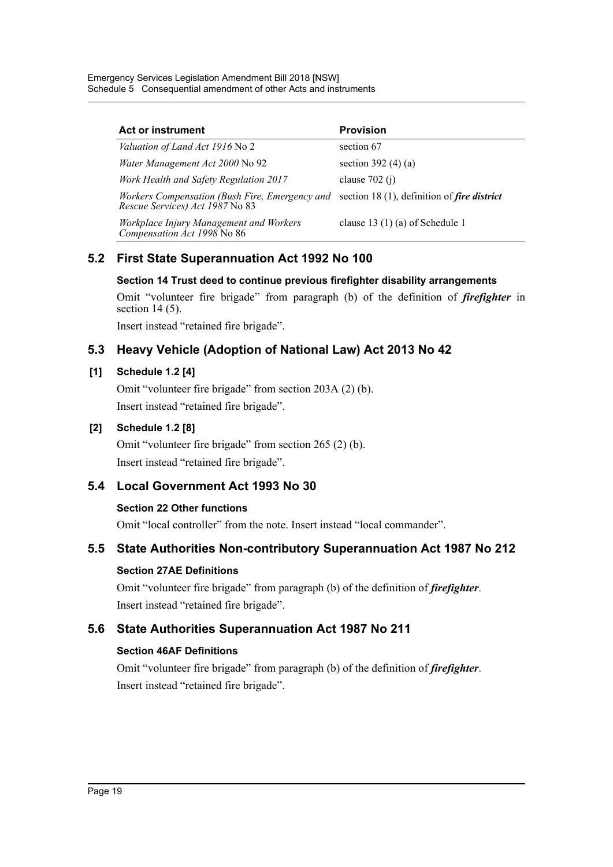Emergency Services Legislation Amendment Bill 2018 [NSW] Schedule 5 Consequential amendment of other Acts and instruments

| <b>Act or instrument</b>                                                                                                             | <b>Provision</b>                  |
|--------------------------------------------------------------------------------------------------------------------------------------|-----------------------------------|
| <i>Valuation of Land Act 1916</i> No 2                                                                                               | section 67                        |
| Water Management Act 2000 No 92                                                                                                      | section 392 $(4)(a)$              |
| <b>Work Health and Safety Regulation 2017</b>                                                                                        | clause $702(j)$                   |
| <i>Workers Compensation (Bush Fire, Emergency and section 18 (1), definition of fire district</i><br>Rescue Services) Act 1987 No 83 |                                   |
| Workplace Injury Management and Workers<br>Compensation Act 1998 No 86                                                               | clause 13 $(1)$ (a) of Schedule 1 |

# **5.2 First State Superannuation Act 1992 No 100**

#### **Section 14 Trust deed to continue previous firefighter disability arrangements**

Omit "volunteer fire brigade" from paragraph (b) of the definition of *firefighter* in section 14 (5).

Insert instead "retained fire brigade".

# **5.3 Heavy Vehicle (Adoption of National Law) Act 2013 No 42**

#### **[1] Schedule 1.2 [4]**

Omit "volunteer fire brigade" from section 203A (2) (b). Insert instead "retained fire brigade".

## **[2] Schedule 1.2 [8]**

Omit "volunteer fire brigade" from section 265 (2) (b). Insert instead "retained fire brigade".

# **5.4 Local Government Act 1993 No 30**

#### **Section 22 Other functions**

Omit "local controller" from the note. Insert instead "local commander".

# **5.5 State Authorities Non-contributory Superannuation Act 1987 No 212**

#### **Section 27AE Definitions**

Omit "volunteer fire brigade" from paragraph (b) of the definition of *firefighter*. Insert instead "retained fire brigade".

# **5.6 State Authorities Superannuation Act 1987 No 211**

# **Section 46AF Definitions**

Omit "volunteer fire brigade" from paragraph (b) of the definition of *firefighter*. Insert instead "retained fire brigade".